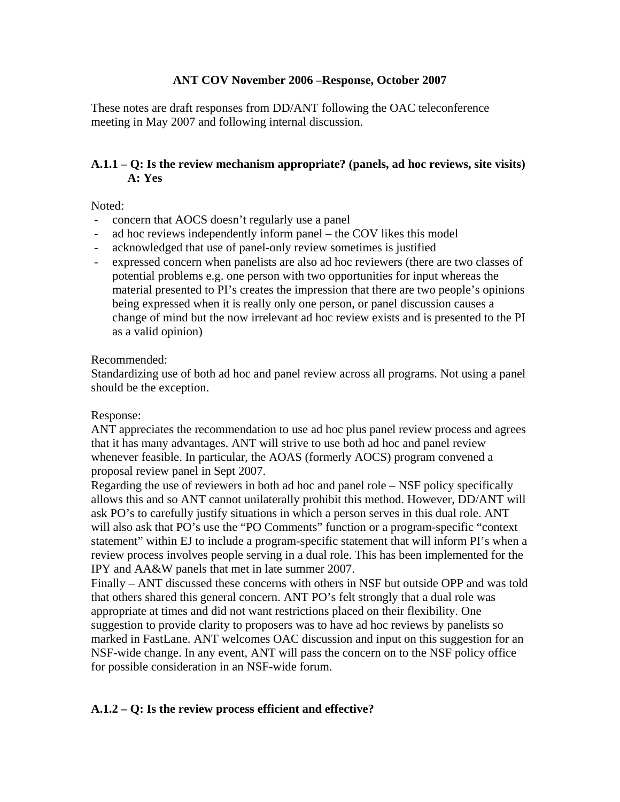## **ANT COV November 2006 –Response, October 2007**

These notes are draft responses from DD/ANT following the OAC teleconference meeting in May 2007 and following internal discussion.

# **A.1.1 – Q: Is the review mechanism appropriate? (panels, ad hoc reviews, site visits) A: Yes**

Noted:

- concern that AOCS doesn't regularly use a panel
- ad hoc reviews independently inform panel the COV likes this model
- acknowledged that use of panel-only review sometimes is justified
- expressed concern when panelists are also ad hoc reviewers (there are two classes of potential problems e.g. one person with two opportunities for input whereas the material presented to PI's creates the impression that there are two people's opinions being expressed when it is really only one person, or panel discussion causes a change of mind but the now irrelevant ad hoc review exists and is presented to the PI as a valid opinion)

#### Recommended:

Standardizing use of both ad hoc and panel review across all programs. Not using a panel should be the exception.

## Response:

ANT appreciates the recommendation to use ad hoc plus panel review process and agrees that it has many advantages. ANT will strive to use both ad hoc and panel review whenever feasible. In particular, the AOAS (formerly AOCS) program convened a proposal review panel in Sept 2007.

Regarding the use of reviewers in both ad hoc and panel role – NSF policy specifically allows this and so ANT cannot unilaterally prohibit this method. However, DD/ANT will ask PO's to carefully justify situations in which a person serves in this dual role. ANT will also ask that PO's use the "PO Comments" function or a program-specific "context" statement" within EJ to include a program-specific statement that will inform PI's when a review process involves people serving in a dual role. This has been implemented for the IPY and AA&W panels that met in late summer 2007.

Finally – ANT discussed these concerns with others in NSF but outside OPP and was told that others shared this general concern. ANT PO's felt strongly that a dual role was appropriate at times and did not want restrictions placed on their flexibility. One suggestion to provide clarity to proposers was to have ad hoc reviews by panelists so marked in FastLane. ANT welcomes OAC discussion and input on this suggestion for an NSF-wide change. In any event, ANT will pass the concern on to the NSF policy office for possible consideration in an NSF-wide forum.

## **A.1.2 – Q: Is the review process efficient and effective?**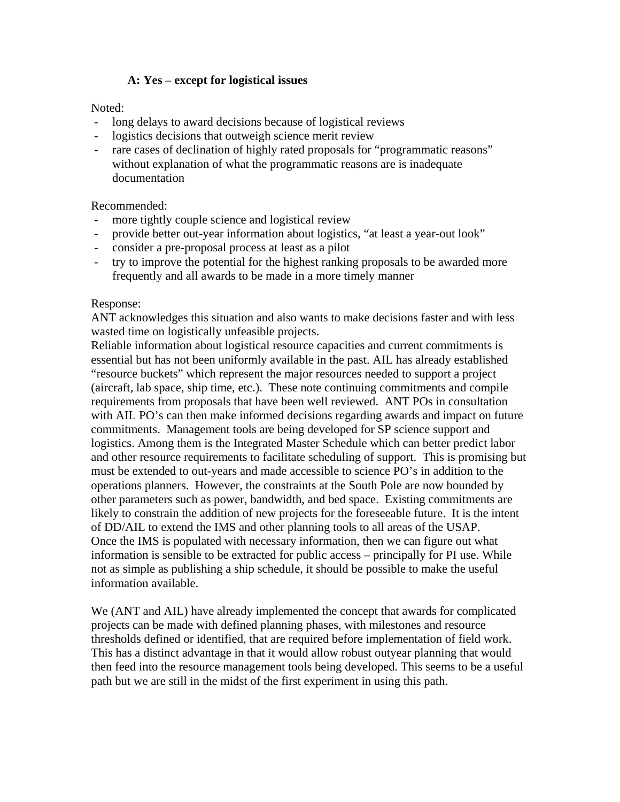# **A: Yes – except for logistical issues**

Noted:

- long delays to award decisions because of logistical reviews
- logistics decisions that outweigh science merit review
- rare cases of declination of highly rated proposals for "programmatic reasons" without explanation of what the programmatic reasons are is inadequate documentation

## Recommended:

- more tightly couple science and logistical review
- provide better out-year information about logistics, "at least a year-out look"
- consider a pre-proposal process at least as a pilot
- try to improve the potential for the highest ranking proposals to be awarded more frequently and all awards to be made in a more timely manner

#### Response:

ANT acknowledges this situation and also wants to make decisions faster and with less wasted time on logistically unfeasible projects.

Reliable information about logistical resource capacities and current commitments is essential but has not been uniformly available in the past. AIL has already established "resource buckets" which represent the major resources needed to support a project (aircraft, lab space, ship time, etc.). These note continuing commitments and compile requirements from proposals that have been well reviewed. ANT POs in consultation with AIL PO's can then make informed decisions regarding awards and impact on future commitments. Management tools are being developed for SP science support and logistics. Among them is the Integrated Master Schedule which can better predict labor and other resource requirements to facilitate scheduling of support. This is promising but must be extended to out-years and made accessible to science PO's in addition to the operations planners. However, the constraints at the South Pole are now bounded by other parameters such as power, bandwidth, and bed space. Existing commitments are likely to constrain the addition of new projects for the foreseeable future. It is the intent of DD/AIL to extend the IMS and other planning tools to all areas of the USAP. Once the IMS is populated with necessary information, then we can figure out what information is sensible to be extracted for public access – principally for PI use. While not as simple as publishing a ship schedule, it should be possible to make the useful information available.

We (ANT and AIL) have already implemented the concept that awards for complicated projects can be made with defined planning phases, with milestones and resource thresholds defined or identified, that are required before implementation of field work. This has a distinct advantage in that it would allow robust outyear planning that would then feed into the resource management tools being developed. This seems to be a useful path but we are still in the midst of the first experiment in using this path.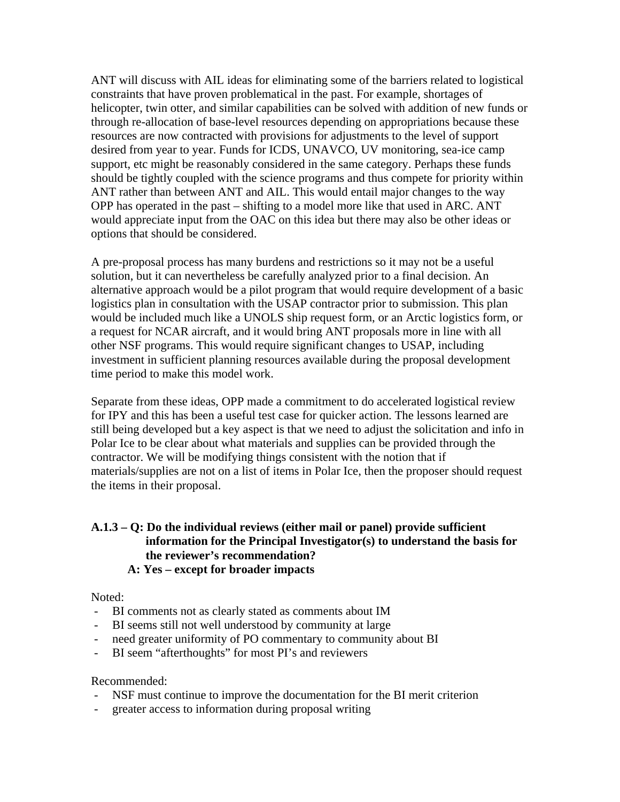ANT will discuss with AIL ideas for eliminating some of the barriers related to logistical constraints that have proven problematical in the past. For example, shortages of helicopter, twin otter, and similar capabilities can be solved with addition of new funds or through re-allocation of base-level resources depending on appropriations because these resources are now contracted with provisions for adjustments to the level of support desired from year to year. Funds for ICDS, UNAVCO, UV monitoring, sea-ice camp support, etc might be reasonably considered in the same category. Perhaps these funds should be tightly coupled with the science programs and thus compete for priority within ANT rather than between ANT and AIL. This would entail major changes to the way OPP has operated in the past – shifting to a model more like that used in ARC. ANT would appreciate input from the OAC on this idea but there may also be other ideas or options that should be considered.

A pre-proposal process has many burdens and restrictions so it may not be a useful solution, but it can nevertheless be carefully analyzed prior to a final decision. An alternative approach would be a pilot program that would require development of a basic logistics plan in consultation with the USAP contractor prior to submission. This plan would be included much like a UNOLS ship request form, or an Arctic logistics form, or a request for NCAR aircraft, and it would bring ANT proposals more in line with all other NSF programs. This would require significant changes to USAP, including investment in sufficient planning resources available during the proposal development time period to make this model work.

Separate from these ideas, OPP made a commitment to do accelerated logistical review for IPY and this has been a useful test case for quicker action. The lessons learned are still being developed but a key aspect is that we need to adjust the solicitation and info in Polar Ice to be clear about what materials and supplies can be provided through the contractor. We will be modifying things consistent with the notion that if materials/supplies are not on a list of items in Polar Ice, then the proposer should request the items in their proposal.

#### **A.1.3 – Q: Do the individual reviews (either mail or panel) provide sufficient information for the Principal Investigator(s) to understand the basis for the reviewer's recommendation? A: Yes – except for broader impacts**

Noted:

- BI comments not as clearly stated as comments about IM
- BI seems still not well understood by community at large
- need greater uniformity of PO commentary to community about BI
- BI seem "afterthoughts" for most PI's and reviewers

- NSF must continue to improve the documentation for the BI merit criterion
- greater access to information during proposal writing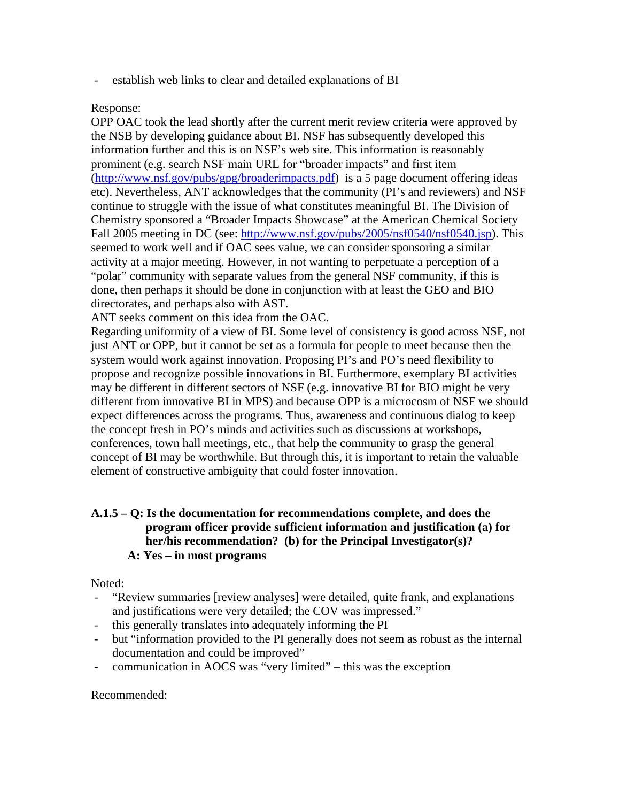- establish web links to clear and detailed explanations of BI

### Response:

OPP OAC took the lead shortly after the current merit review criteria were approved by the NSB by developing guidance about BI. NSF has subsequently developed this information further and this is on NSF's web site. This information is reasonably prominent (e.g. search NSF main URL for "broader impacts" and first item ([http://www.nsf.gov/pubs/gpg/broaderimpacts.pdf\)](http://www.nsf.gov/pubs/gpg/broaderimpacts.pdf) is a 5 page document offering ideas etc). Nevertheless, ANT acknowledges that the community (PI's and reviewers) and NSF continue to struggle with the issue of what constitutes meaningful BI. The Division of Chemistry sponsored a "Broader Impacts Showcase" at the American Chemical Society Fall 2005 meeting in DC (see: [http://www.nsf.gov/pubs/2005/nsf0540/nsf0540.jsp\)](http://www.nsf.gov/pubs/2005/nsf0540/nsf0540.jsp). This seemed to work well and if OAC sees value, we can consider sponsoring a similar activity at a major meeting. However, in not wanting to perpetuate a perception of a "polar" community with separate values from the general NSF community, if this is done, then perhaps it should be done in conjunction with at least the GEO and BIO directorates, and perhaps also with AST.

ANT seeks comment on this idea from the OAC.

Regarding uniformity of a view of BI. Some level of consistency is good across NSF, not just ANT or OPP, but it cannot be set as a formula for people to meet because then the system would work against innovation. Proposing PI's and PO's need flexibility to propose and recognize possible innovations in BI. Furthermore, exemplary BI activities may be different in different sectors of NSF (e.g. innovative BI for BIO might be very different from innovative BI in MPS) and because OPP is a microcosm of NSF we should expect differences across the programs. Thus, awareness and continuous dialog to keep the concept fresh in PO's minds and activities such as discussions at workshops, conferences, town hall meetings, etc., that help the community to grasp the general concept of BI may be worthwhile. But through this, it is important to retain the valuable element of constructive ambiguity that could foster innovation.

## **A.1.5 – Q: Is the documentation for recommendations complete, and does the program officer provide sufficient information and justification (a) for her/his recommendation? (b) for the Principal Investigator(s)? A: Yes – in most programs**

Noted:

- "Review summaries [review analyses] were detailed, quite frank, and explanations and justifications were very detailed; the COV was impressed."
- this generally translates into adequately informing the PI
- but "information provided to the PI generally does not seem as robust as the internal documentation and could be improved"
- communication in AOCS was "very limited" this was the exception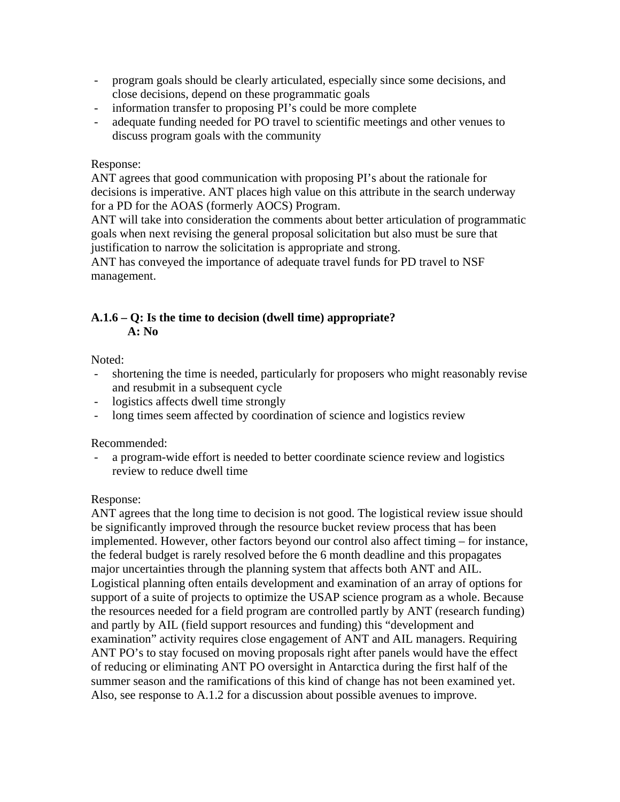- program goals should be clearly articulated, especially since some decisions, and close decisions, depend on these programmatic goals
- information transfer to proposing PI's could be more complete
- adequate funding needed for PO travel to scientific meetings and other venues to discuss program goals with the community

### Response:

ANT agrees that good communication with proposing PI's about the rationale for decisions is imperative. ANT places high value on this attribute in the search underway for a PD for the AOAS (formerly AOCS) Program.

ANT will take into consideration the comments about better articulation of programmatic goals when next revising the general proposal solicitation but also must be sure that justification to narrow the solicitation is appropriate and strong.

ANT has conveyed the importance of adequate travel funds for PD travel to NSF management.

## **A.1.6 – Q: Is the time to decision (dwell time) appropriate? A: No**

Noted:

- shortening the time is needed, particularly for proposers who might reasonably revise and resubmit in a subsequent cycle
- logistics affects dwell time strongly
- long times seem affected by coordination of science and logistics review

Recommended:

- a program-wide effort is needed to better coordinate science review and logistics review to reduce dwell time

## Response:

ANT agrees that the long time to decision is not good. The logistical review issue should be significantly improved through the resource bucket review process that has been implemented. However, other factors beyond our control also affect timing – for instance, the federal budget is rarely resolved before the 6 month deadline and this propagates major uncertainties through the planning system that affects both ANT and AIL. Logistical planning often entails development and examination of an array of options for support of a suite of projects to optimize the USAP science program as a whole. Because the resources needed for a field program are controlled partly by ANT (research funding) and partly by AIL (field support resources and funding) this "development and examination" activity requires close engagement of ANT and AIL managers. Requiring ANT PO's to stay focused on moving proposals right after panels would have the effect of reducing or eliminating ANT PO oversight in Antarctica during the first half of the summer season and the ramifications of this kind of change has not been examined yet. Also, see response to A.1.2 for a discussion about possible avenues to improve.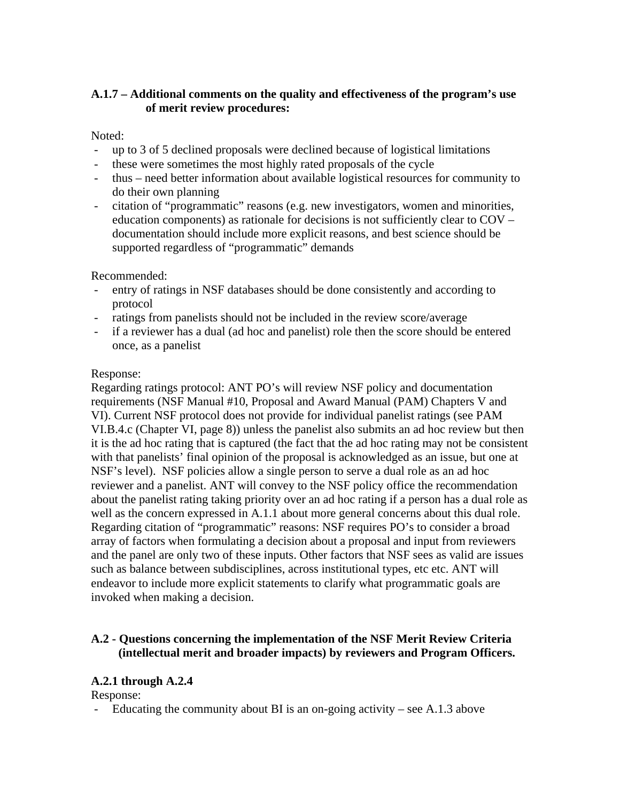# **A.1.7 – Additional comments on the quality and effectiveness of the program's use of merit review procedures:**

## Noted:

- up to 3 of 5 declined proposals were declined because of logistical limitations
- these were sometimes the most highly rated proposals of the cycle
- thus need better information about available logistical resources for community to do their own planning
- citation of "programmatic" reasons (e.g. new investigators, women and minorities, education components) as rationale for decisions is not sufficiently clear to COV – documentation should include more explicit reasons, and best science should be supported regardless of "programmatic" demands

Recommended:

- entry of ratings in NSF databases should be done consistently and according to protocol
- ratings from panelists should not be included in the review score/average
- if a reviewer has a dual (ad hoc and panelist) role then the score should be entered once, as a panelist

# Response:

Regarding ratings protocol: ANT PO's will review NSF policy and documentation requirements (NSF Manual #10, Proposal and Award Manual (PAM) Chapters V and VI). Current NSF protocol does not provide for individual panelist ratings (see PAM VI.B.4.c (Chapter VI, page 8)) unless the panelist also submits an ad hoc review but then it is the ad hoc rating that is captured (the fact that the ad hoc rating may not be consistent with that panelists' final opinion of the proposal is acknowledged as an issue, but one at NSF's level). NSF policies allow a single person to serve a dual role as an ad hoc reviewer and a panelist. ANT will convey to the NSF policy office the recommendation about the panelist rating taking priority over an ad hoc rating if a person has a dual role as well as the concern expressed in A.1.1 about more general concerns about this dual role. Regarding citation of "programmatic" reasons: NSF requires PO's to consider a broad array of factors when formulating a decision about a proposal and input from reviewers and the panel are only two of these inputs. Other factors that NSF sees as valid are issues such as balance between subdisciplines, across institutional types, etc etc. ANT will endeavor to include more explicit statements to clarify what programmatic goals are invoked when making a decision.

# **A.2 - Questions concerning the implementation of the NSF Merit Review Criteria (intellectual merit and broader impacts) by reviewers and Program Officers.**

# **A.2.1 through A.2.4**

Response:

- Educating the community about BI is an on-going activity – see A.1.3 above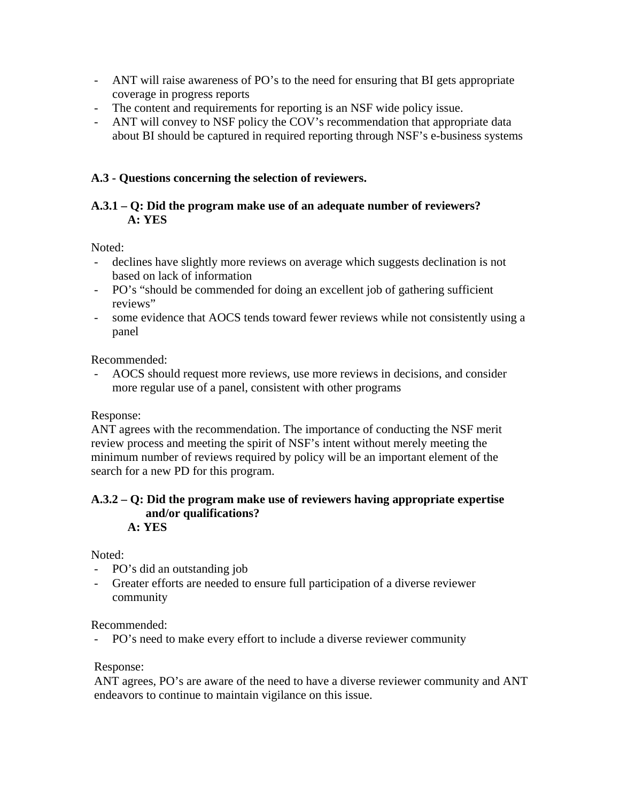- ANT will raise awareness of PO's to the need for ensuring that BI gets appropriate coverage in progress reports
- The content and requirements for reporting is an NSF wide policy issue.
- ANT will convey to NSF policy the COV's recommendation that appropriate data about BI should be captured in required reporting through NSF's e-business systems

## **A.3 - Questions concerning the selection of reviewers.**

## **A.3.1 – Q: Did the program make use of an adequate number of reviewers? A: YES**

Noted:

- declines have slightly more reviews on average which suggests declination is not based on lack of information
- PO's "should be commended for doing an excellent job of gathering sufficient reviews"
- some evidence that AOCS tends toward fewer reviews while not consistently using a panel

Recommended:

- AOCS should request more reviews, use more reviews in decisions, and consider more regular use of a panel, consistent with other programs

Response:

ANT agrees with the recommendation. The importance of conducting the NSF merit review process and meeting the spirit of NSF's intent without merely meeting the minimum number of reviews required by policy will be an important element of the search for a new PD for this program.

#### **A.3.2 – Q: Did the program make use of reviewers having appropriate expertise and/or qualifications? A: YES**

Noted:

- PO's did an outstanding job
- Greater efforts are needed to ensure full participation of a diverse reviewer community

Recommended:

- PO's need to make every effort to include a diverse reviewer community

Response:

ANT agrees, PO's are aware of the need to have a diverse reviewer community and ANT endeavors to continue to maintain vigilance on this issue.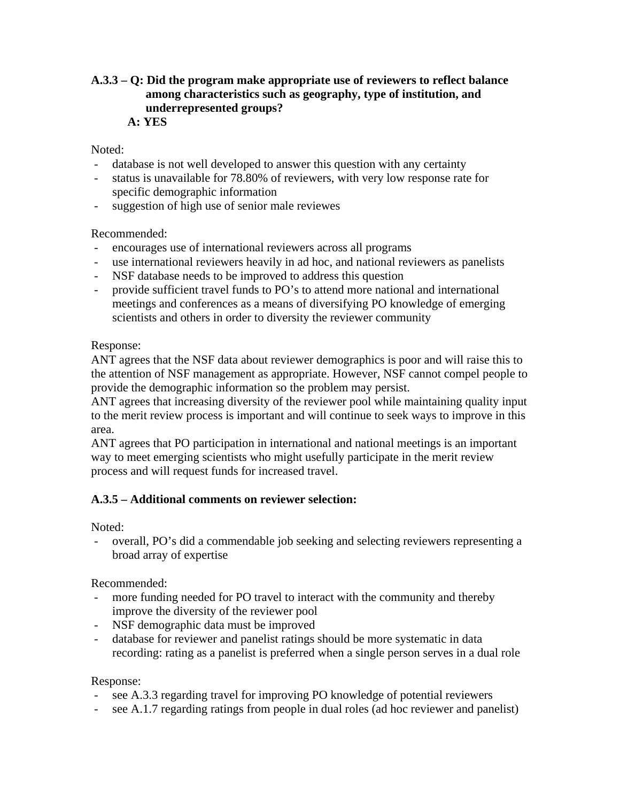## **A.3.3 – Q: Did the program make appropriate use of reviewers to reflect balance among characteristics such as geography, type of institution, and underrepresented groups? A: YES**

## Noted:

- database is not well developed to answer this question with any certainty
- status is unavailable for 78.80% of reviewers, with very low response rate for specific demographic information
- suggestion of high use of senior male reviewes

## Recommended:

- encourages use of international reviewers across all programs
- use international reviewers heavily in ad hoc, and national reviewers as panelists
- NSF database needs to be improved to address this question
- provide sufficient travel funds to PO's to attend more national and international meetings and conferences as a means of diversifying PO knowledge of emerging scientists and others in order to diversity the reviewer community

## Response:

ANT agrees that the NSF data about reviewer demographics is poor and will raise this to the attention of NSF management as appropriate. However, NSF cannot compel people to provide the demographic information so the problem may persist.

ANT agrees that increasing diversity of the reviewer pool while maintaining quality input to the merit review process is important and will continue to seek ways to improve in this area.

ANT agrees that PO participation in international and national meetings is an important way to meet emerging scientists who might usefully participate in the merit review process and will request funds for increased travel.

# **A.3.5 – Additional comments on reviewer selection:**

Noted:

- overall, PO's did a commendable job seeking and selecting reviewers representing a broad array of expertise

Recommended:

- more funding needed for PO travel to interact with the community and thereby improve the diversity of the reviewer pool
- NSF demographic data must be improved
- database for reviewer and panelist ratings should be more systematic in data recording: rating as a panelist is preferred when a single person serves in a dual role

Response:

- see A.3.3 regarding travel for improving PO knowledge of potential reviewers
- see A.1.7 regarding ratings from people in dual roles (ad hoc reviewer and panelist)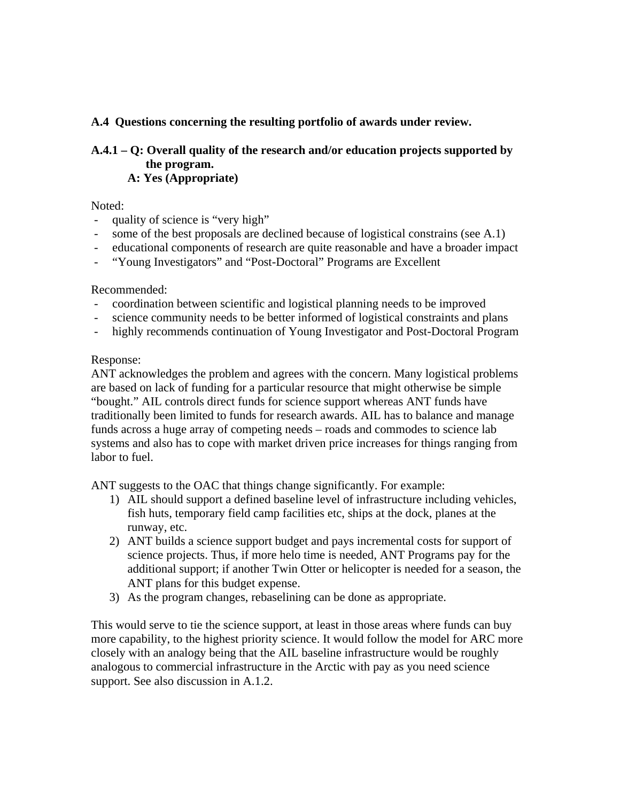# **A.4 Questions concerning the resulting portfolio of awards under review.**

## **A.4.1 – Q: Overall quality of the research and/or education projects supported by the program. A: Yes (Appropriate)**

Noted:

- quality of science is "very high"
- some of the best proposals are declined because of logistical constrains (see A.1)
- educational components of research are quite reasonable and have a broader impact
- "Young Investigators" and "Post-Doctoral" Programs are Excellent

Recommended:

- coordination between scientific and logistical planning needs to be improved
- science community needs to be better informed of logistical constraints and plans
- highly recommends continuation of Young Investigator and Post-Doctoral Program

## Response:

ANT acknowledges the problem and agrees with the concern. Many logistical problems are based on lack of funding for a particular resource that might otherwise be simple "bought." AIL controls direct funds for science support whereas ANT funds have traditionally been limited to funds for research awards. AIL has to balance and manage funds across a huge array of competing needs – roads and commodes to science lab systems and also has to cope with market driven price increases for things ranging from labor to fuel.

ANT suggests to the OAC that things change significantly. For example:

- 1) AIL should support a defined baseline level of infrastructure including vehicles, fish huts, temporary field camp facilities etc, ships at the dock, planes at the runway, etc.
- 2) ANT builds a science support budget and pays incremental costs for support of science projects. Thus, if more helo time is needed, ANT Programs pay for the additional support; if another Twin Otter or helicopter is needed for a season, the ANT plans for this budget expense.
- 3) As the program changes, rebaselining can be done as appropriate.

This would serve to tie the science support, at least in those areas where funds can buy more capability, to the highest priority science. It would follow the model for ARC more closely with an analogy being that the AIL baseline infrastructure would be roughly analogous to commercial infrastructure in the Arctic with pay as you need science support. See also discussion in A.1.2.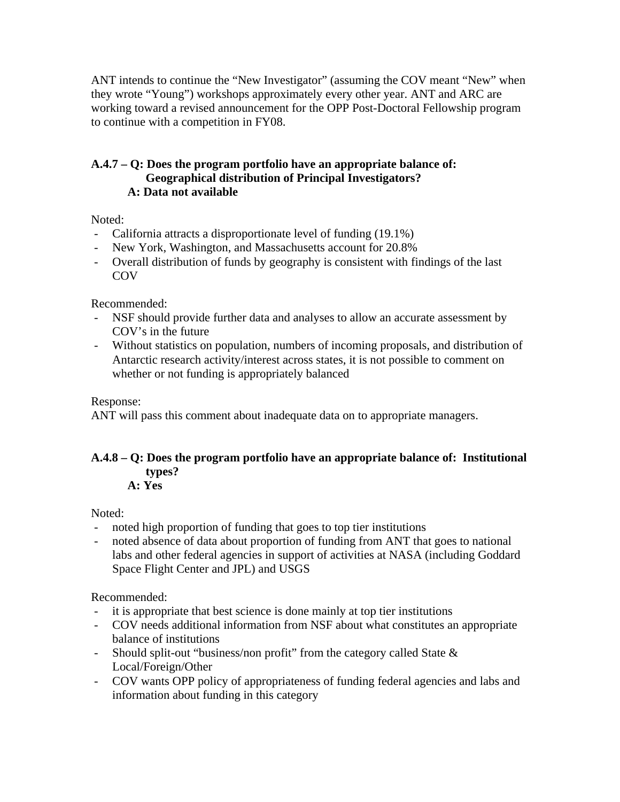ANT intends to continue the "New Investigator" (assuming the COV meant "New" when they wrote "Young") workshops approximately every other year. ANT and ARC are working toward a revised announcement for the OPP Post-Doctoral Fellowship program to continue with a competition in FY08.

# **A.4.7 – Q: Does the program portfolio have an appropriate balance of: Geographical distribution of Principal Investigators? A: Data not available**

Noted:

- California attracts a disproportionate level of funding (19.1%)
- New York, Washington, and Massachusetts account for 20.8%
- Overall distribution of funds by geography is consistent with findings of the last **COV**

Recommended:

- NSF should provide further data and analyses to allow an accurate assessment by COV's in the future
- Without statistics on population, numbers of incoming proposals, and distribution of Antarctic research activity/interest across states, it is not possible to comment on whether or not funding is appropriately balanced

Response:

ANT will pass this comment about inadequate data on to appropriate managers.

# **A.4.8 – Q: Does the program portfolio have an appropriate balance of: Institutional types?**

**A: Yes** 

Noted:

- noted high proportion of funding that goes to top tier institutions
- noted absence of data about proportion of funding from ANT that goes to national labs and other federal agencies in support of activities at NASA (including Goddard Space Flight Center and JPL) and USGS

- it is appropriate that best science is done mainly at top tier institutions
- COV needs additional information from NSF about what constitutes an appropriate balance of institutions
- Should split-out "business/non profit" from the category called State & Local/Foreign/Other
- COV wants OPP policy of appropriateness of funding federal agencies and labs and information about funding in this category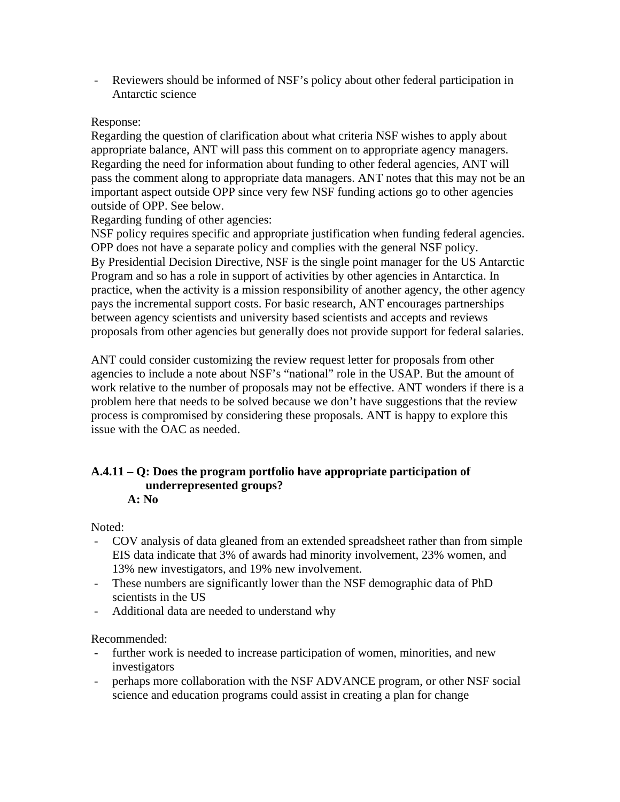- Reviewers should be informed of NSF's policy about other federal participation in Antarctic science

## Response:

Regarding the question of clarification about what criteria NSF wishes to apply about appropriate balance, ANT will pass this comment on to appropriate agency managers. Regarding the need for information about funding to other federal agencies, ANT will pass the comment along to appropriate data managers. ANT notes that this may not be an important aspect outside OPP since very few NSF funding actions go to other agencies outside of OPP. See below.

Regarding funding of other agencies:

NSF policy requires specific and appropriate justification when funding federal agencies. OPP does not have a separate policy and complies with the general NSF policy. By Presidential Decision Directive, NSF is the single point manager for the US Antarctic Program and so has a role in support of activities by other agencies in Antarctica. In practice, when the activity is a mission responsibility of another agency, the other agency pays the incremental support costs. For basic research, ANT encourages partnerships between agency scientists and university based scientists and accepts and reviews proposals from other agencies but generally does not provide support for federal salaries.

ANT could consider customizing the review request letter for proposals from other agencies to include a note about NSF's "national" role in the USAP. But the amount of work relative to the number of proposals may not be effective. ANT wonders if there is a problem here that needs to be solved because we don't have suggestions that the review process is compromised by considering these proposals. ANT is happy to explore this issue with the OAC as needed.

# **A.4.11 – Q: Does the program portfolio have appropriate participation of underrepresented groups?**

**A: No** 

Noted:

- COV analysis of data gleaned from an extended spreadsheet rather than from simple EIS data indicate that 3% of awards had minority involvement, 23% women, and 13% new investigators, and 19% new involvement.
- These numbers are significantly lower than the NSF demographic data of PhD scientists in the US
- Additional data are needed to understand why

- further work is needed to increase participation of women, minorities, and new investigators
- perhaps more collaboration with the NSF ADVANCE program, or other NSF social science and education programs could assist in creating a plan for change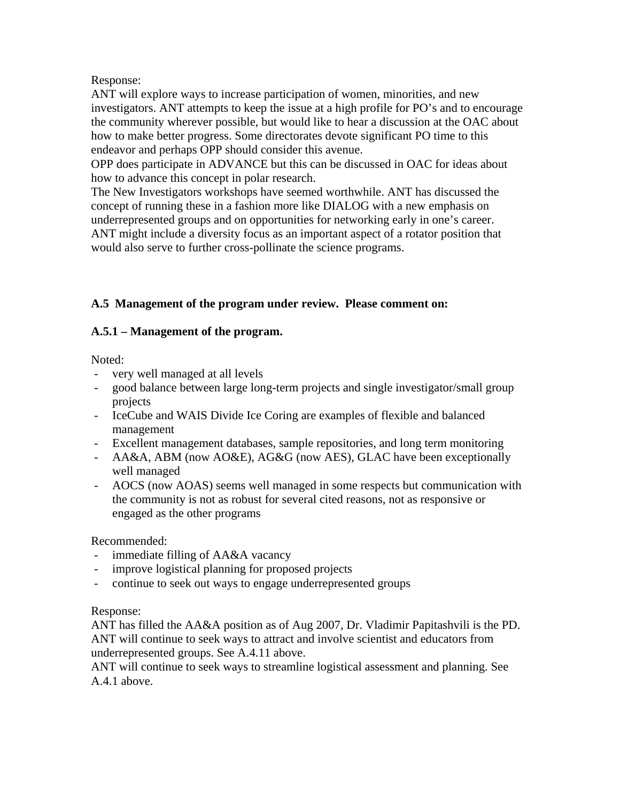## Response:

ANT will explore ways to increase participation of women, minorities, and new investigators. ANT attempts to keep the issue at a high profile for PO's and to encourage the community wherever possible, but would like to hear a discussion at the OAC about how to make better progress. Some directorates devote significant PO time to this endeavor and perhaps OPP should consider this avenue.

OPP does participate in ADVANCE but this can be discussed in OAC for ideas about how to advance this concept in polar research.

The New Investigators workshops have seemed worthwhile. ANT has discussed the concept of running these in a fashion more like DIALOG with a new emphasis on underrepresented groups and on opportunities for networking early in one's career. ANT might include a diversity focus as an important aspect of a rotator position that would also serve to further cross-pollinate the science programs.

# **A.5 Management of the program under review. Please comment on:**

# **A.5.1 – Management of the program.**

Noted:

- very well managed at all levels
- good balance between large long-term projects and single investigator/small group projects
- IceCube and WAIS Divide Ice Coring are examples of flexible and balanced management
- Excellent management databases, sample repositories, and long term monitoring
- AA&A, ABM (now AO&E), AG&G (now AES), GLAC have been exceptionally well managed
- AOCS (now AOAS) seems well managed in some respects but communication with the community is not as robust for several cited reasons, not as responsive or engaged as the other programs

Recommended:

- immediate filling of AA&A vacancy
- improve logistical planning for proposed projects
- continue to seek out ways to engage underrepresented groups

# Response:

ANT has filled the AA&A position as of Aug 2007, Dr. Vladimir Papitashvili is the PD. ANT will continue to seek ways to attract and involve scientist and educators from underrepresented groups. See A.4.11 above.

ANT will continue to seek ways to streamline logistical assessment and planning. See A.4.1 above.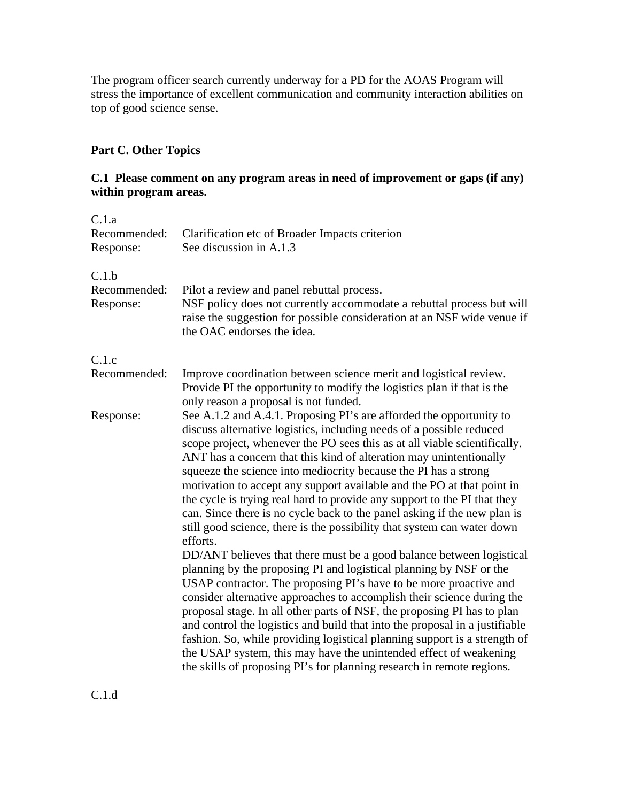The program officer search currently underway for a PD for the AOAS Program will stress the importance of excellent communication and community interaction abilities on top of good science sense.

# **Part C. Other Topics**

# **C.1 Please comment on any program areas in need of improvement or gaps (if any) within program areas.**

| C.1.a<br>Recommended:<br>Response: | Clarification etc of Broader Impacts criterion<br>See discussion in A.1.3                                                                                                                                                                                                                                                                                                                                                                                                                                                                                                                                                                                                                  |
|------------------------------------|--------------------------------------------------------------------------------------------------------------------------------------------------------------------------------------------------------------------------------------------------------------------------------------------------------------------------------------------------------------------------------------------------------------------------------------------------------------------------------------------------------------------------------------------------------------------------------------------------------------------------------------------------------------------------------------------|
| C.1.b<br>Recommended:<br>Response: | Pilot a review and panel rebuttal process.<br>NSF policy does not currently accommodate a rebuttal process but will<br>raise the suggestion for possible consideration at an NSF wide venue if<br>the OAC endorses the idea.                                                                                                                                                                                                                                                                                                                                                                                                                                                               |
| C.1.c                              |                                                                                                                                                                                                                                                                                                                                                                                                                                                                                                                                                                                                                                                                                            |
| Recommended:                       | Improve coordination between science merit and logistical review.<br>Provide PI the opportunity to modify the logistics plan if that is the<br>only reason a proposal is not funded.                                                                                                                                                                                                                                                                                                                                                                                                                                                                                                       |
| Response:                          | See A.1.2 and A.4.1. Proposing PI's are afforded the opportunity to<br>discuss alternative logistics, including needs of a possible reduced<br>scope project, whenever the PO sees this as at all viable scientifically.<br>ANT has a concern that this kind of alteration may unintentionally<br>squeeze the science into mediocrity because the PI has a strong<br>motivation to accept any support available and the PO at that point in<br>the cycle is trying real hard to provide any support to the PI that they<br>can. Since there is no cycle back to the panel asking if the new plan is<br>still good science, there is the possibility that system can water down<br>efforts. |
|                                    | DD/ANT believes that there must be a good balance between logistical<br>planning by the proposing PI and logistical planning by NSF or the<br>USAP contractor. The proposing PI's have to be more proactive and<br>consider alternative approaches to accomplish their science during the<br>proposal stage. In all other parts of NSF, the proposing PI has to plan<br>and control the logistics and build that into the proposal in a justifiable<br>fashion. So, while providing logistical planning support is a strength of<br>the USAP system, this may have the unintended effect of weakening<br>the skills of proposing PI's for planning research in remote regions.             |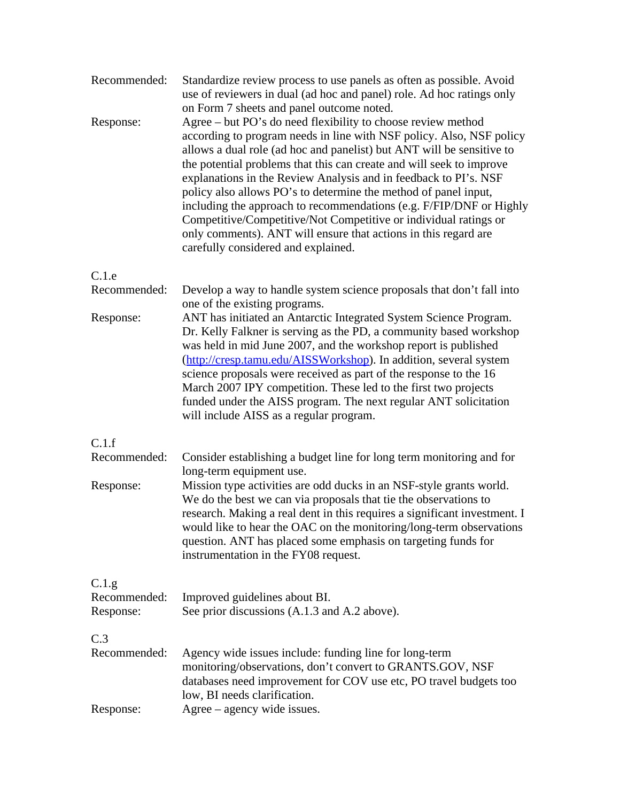| Standardize review process to use panels as often as possible. Avoid<br>use of reviewers in dual (ad hoc and panel) role. Ad hoc ratings only<br>on Form 7 sheets and panel outcome noted.                                                                                                                                                                                                                                                                                                                                                                                                                                                                                        |
|-----------------------------------------------------------------------------------------------------------------------------------------------------------------------------------------------------------------------------------------------------------------------------------------------------------------------------------------------------------------------------------------------------------------------------------------------------------------------------------------------------------------------------------------------------------------------------------------------------------------------------------------------------------------------------------|
| Agree - but PO's do need flexibility to choose review method<br>according to program needs in line with NSF policy. Also, NSF policy<br>allows a dual role (ad hoc and panelist) but ANT will be sensitive to<br>the potential problems that this can create and will seek to improve<br>explanations in the Review Analysis and in feedback to PI's. NSF<br>policy also allows PO's to determine the method of panel input,<br>including the approach to recommendations (e.g. F/FIP/DNF or Highly<br>Competitive/Competitive/Not Competitive or individual ratings or<br>only comments). ANT will ensure that actions in this regard are<br>carefully considered and explained. |
| Develop a way to handle system science proposals that don't fall into<br>one of the existing programs.<br>ANT has initiated an Antarctic Integrated System Science Program.<br>Dr. Kelly Falkner is serving as the PD, a community based workshop<br>was held in mid June 2007, and the workshop report is published<br>(http://cresp.tamu.edu/AISSWorkshop). In addition, several system<br>science proposals were received as part of the response to the 16<br>March 2007 IPY competition. These led to the first two projects<br>funded under the AISS program. The next regular ANT solicitation<br>will include AISS as a regular program.                                  |
| Consider establishing a budget line for long term monitoring and for<br>long-term equipment use.<br>Mission type activities are odd ducks in an NSF-style grants world.<br>We do the best we can via proposals that tie the observations to<br>research. Making a real dent in this requires a significant investment. I<br>would like to hear the OAC on the monitoring/long-term observations<br>question. ANT has placed some emphasis on targeting funds for<br>instrumentation in the FY08 request.                                                                                                                                                                          |
| Improved guidelines about BI.<br>See prior discussions (A.1.3 and A.2 above).                                                                                                                                                                                                                                                                                                                                                                                                                                                                                                                                                                                                     |
| Agency wide issues include: funding line for long-term<br>monitoring/observations, don't convert to GRANTS.GOV, NSF<br>databases need improvement for COV use etc, PO travel budgets too<br>low, BI needs clarification.<br>Agree – agency wide issues.                                                                                                                                                                                                                                                                                                                                                                                                                           |
|                                                                                                                                                                                                                                                                                                                                                                                                                                                                                                                                                                                                                                                                                   |